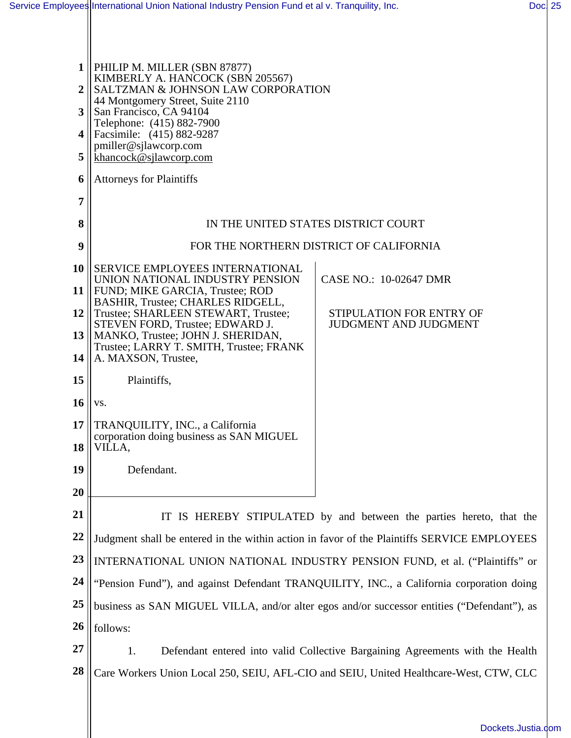| 1<br>2    | PHILIP M. MILLER (SBN 87877)<br>KIMBERLY A. HANCOCK (SBN 205567)<br>SALTZMAN & JOHNSON LAW CORPORATION |                                                                     |  |  |
|-----------|--------------------------------------------------------------------------------------------------------|---------------------------------------------------------------------|--|--|
| 3         | 44 Montgomery Street, Suite 2110                                                                       |                                                                     |  |  |
|           | San Francisco, CA 94104<br>Telephone: (415) 882-7900                                                   |                                                                     |  |  |
| 4         | Facsimile: (415) 882-9287<br>pmiller@sjlawcorp.com                                                     |                                                                     |  |  |
| 5         |                                                                                                        | khancock@sjlawcorp.com                                              |  |  |
| 6         | <b>Attorneys for Plaintiffs</b>                                                                        |                                                                     |  |  |
| 7         |                                                                                                        |                                                                     |  |  |
| 8         | IN THE UNITED STATES DISTRICT COURT                                                                    |                                                                     |  |  |
| 9         | FOR THE NORTHERN DISTRICT OF CALIFORNIA                                                                |                                                                     |  |  |
| <b>10</b> | SERVICE EMPLOYEES INTERNATIONAL                                                                        |                                                                     |  |  |
| 11        | UNION NATIONAL INDUSTRY PENSION<br>FUND; MIKE GARCIA, Trustee; ROD                                     | CASE NO.: 10-02647 DMR                                              |  |  |
| 12        | BASHIR, Trustee; CHARLES RIDGELL,<br>Trustee; SHARLEEN STEWART, Trustee;                               | STIPULATION FOR ENTRY OF                                            |  |  |
| 13        | STEVEN FORD, Trustee; EDWARD J.<br>MANKO, Trustee; JOHN J. SHERIDAN,                                   | <b>JUDGMENT AND JUDGMENT</b>                                        |  |  |
| 14        | Trustee; LARRY T. SMITH, Trustee; FRANK<br>A. MAXSON, Trustee,                                         |                                                                     |  |  |
| 15        | Plaintiffs,                                                                                            |                                                                     |  |  |
| <b>16</b> | VS.                                                                                                    |                                                                     |  |  |
| 17        | TRANQUILITY, INC., a California                                                                        |                                                                     |  |  |
| 18        | corporation doing business as SAN MIGUEL<br>VILLA,                                                     |                                                                     |  |  |
| 19        | Defendant.                                                                                             |                                                                     |  |  |
| 20        |                                                                                                        |                                                                     |  |  |
| 21        |                                                                                                        | IT IS HEREBY STIPULATED by and between the parties hereto, that the |  |  |
| 22        | Judgment shall be entered in the within action in favor of the Plaintiffs SERVICE EMPLOYEES            |                                                                     |  |  |
| 23        | INTERNATIONAL UNION NATIONAL INDUSTRY PENSION FUND, et al. ("Plaintiffs" or                            |                                                                     |  |  |
| 24        | "Pension Fund"), and against Defendant TRANQUILITY, INC., a California corporation doing               |                                                                     |  |  |
| 25        | business as SAN MIGUEL VILLA, and/or alter egos and/or successor entities ("Defendant"), as            |                                                                     |  |  |
| 26        | follows:                                                                                               |                                                                     |  |  |
| 27        | 1.<br>Defendant entered into valid Collective Bargaining Agreements with the Health                    |                                                                     |  |  |
| 28        | Care Workers Union Local 250, SEIU, AFL-CIO and SEIU, United Healthcare-West, CTW, CLC                 |                                                                     |  |  |
|           |                                                                                                        |                                                                     |  |  |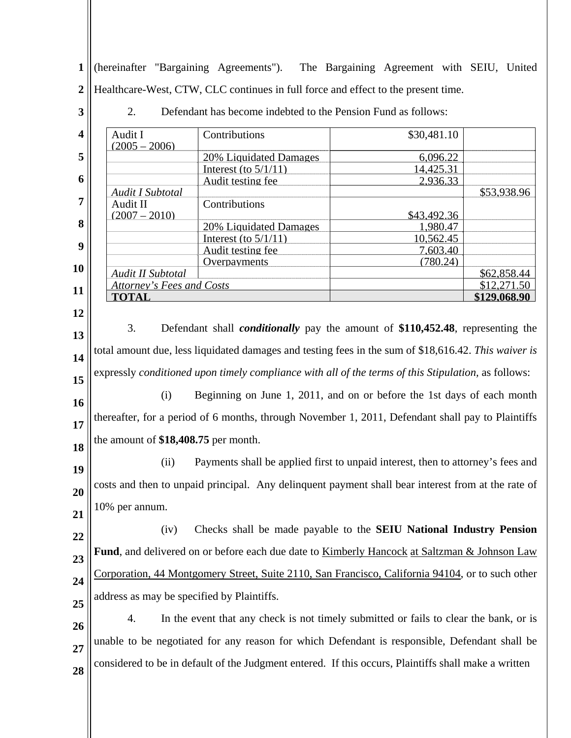**1 2** (hereinafter "Bargaining Agreements"). The Bargaining Agreement with SEIU, United Healthcare-West, CTW, CLC continues in full force and effect to the present time.

2. Defendant has become indebted to the Pension Fund as follows:

**3**

| $\overline{\mathbf{4}}$ | Audit I<br>$(2005 - 2006)$                                                                           | Contributions                 | \$30,481.10                                                                     |              |  |
|-------------------------|------------------------------------------------------------------------------------------------------|-------------------------------|---------------------------------------------------------------------------------|--------------|--|
| 5                       |                                                                                                      | <b>20% Liquidated Damages</b> | 6,096.22                                                                        |              |  |
|                         |                                                                                                      | Interest (to $5/1/11$ )       | 14,425.31                                                                       |              |  |
| 6                       |                                                                                                      | Audit testing fee             | 2,936.33                                                                        |              |  |
|                         | Audit I Subtotal                                                                                     |                               |                                                                                 | \$53,938.96  |  |
| 7                       | Audit II                                                                                             | Contributions                 |                                                                                 |              |  |
|                         | $(2007 - 2010)$                                                                                      |                               | \$43,492.36                                                                     |              |  |
| 8                       |                                                                                                      | 20% Liquidated Damages        | 1,980.47                                                                        |              |  |
| 9                       |                                                                                                      | Interest (to $5/1/11$ )       | 10,562.45                                                                       |              |  |
|                         |                                                                                                      | Audit testing fee             | 7,603.40                                                                        |              |  |
| 10                      |                                                                                                      | Overpayments                  | (780.24)                                                                        |              |  |
|                         | Audit II Subtotal                                                                                    |                               |                                                                                 | \$62,858.44  |  |
| 11                      | <b>Attorney's Fees and Costs</b>                                                                     |                               |                                                                                 | \$12,271.50  |  |
|                         | <b>TOTAL</b>                                                                                         |                               |                                                                                 | \$129,068.90 |  |
| 12                      |                                                                                                      |                               |                                                                                 |              |  |
| 13                      | 3.<br>Defendant shall <i>conditionally</i> pay the amount of \$110,452.48, representing the          |                               |                                                                                 |              |  |
| 14                      | total amount due, less liquidated damages and testing fees in the sum of \$18,616.42. This waiver is |                               |                                                                                 |              |  |
| 15                      | expressly conditioned upon timely compliance with all of the terms of this Stipulation, as follows:  |                               |                                                                                 |              |  |
| 16                      | (i)                                                                                                  |                               | Beginning on June 1, 2011, and on or before the 1st days of each month          |              |  |
| 17                      | thereafter, for a period of 6 months, through November 1, 2011, Defendant shall pay to Plaintiffs    |                               |                                                                                 |              |  |
| 18                      | the amount of \$18,408.75 per month.                                                                 |                               |                                                                                 |              |  |
| 19                      | (ii)                                                                                                 |                               | Payments shall be applied first to unpaid interest, then to attorney's fees and |              |  |
| 20                      | costs and then to unpaid principal. Any delinquent payment shall bear interest from at the rate of   |                               |                                                                                 |              |  |
| 21                      | 10% per annum.                                                                                       |                               |                                                                                 |              |  |
| 22                      | (iv)                                                                                                 |                               | Checks shall be made payable to the <b>SEIU</b> National Industry Pension       |              |  |
| 23                      | Fund, and delivered on or before each due date to Kimberly Hancock at Saltzman & Johnson Law         |                               |                                                                                 |              |  |
| 24                      | Corporation, 44 Montgomery Street, Suite 2110, San Francisco, California 94104, or to such other     |                               |                                                                                 |              |  |
| 25                      | address as may be specified by Plaintiffs.                                                           |                               |                                                                                 |              |  |
| 26                      | In the event that any check is not timely submitted or fails to clear the bank, or is<br>4.          |                               |                                                                                 |              |  |
| 27                      | unable to be negotiated for any reason for which Defendant is responsible, Defendant shall be        |                               |                                                                                 |              |  |
| 28                      | considered to be in default of the Judgment entered. If this occurs, Plaintiffs shall make a written |                               |                                                                                 |              |  |
|                         |                                                                                                      |                               |                                                                                 |              |  |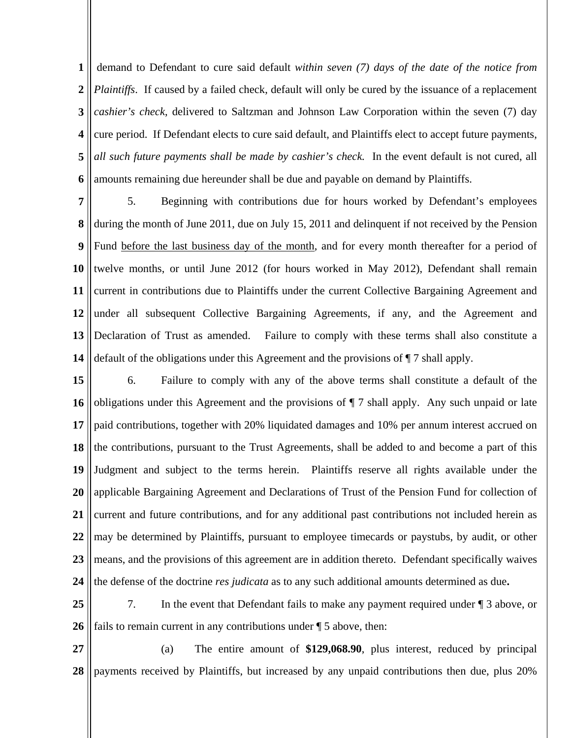**1 2 3 4 5 6** demand to Defendant to cure said default *within seven (7) days of the date of the notice from Plaintiffs*. If caused by a failed check, default will only be cured by the issuance of a replacement *cashier's check*, delivered to Saltzman and Johnson Law Corporation within the seven (7) day cure period. If Defendant elects to cure said default, and Plaintiffs elect to accept future payments, *all such future payments shall be made by cashier's check.* In the event default is not cured, all amounts remaining due hereunder shall be due and payable on demand by Plaintiffs.

**7 8 9 10 11 12 13 14** 5. Beginning with contributions due for hours worked by Defendant's employees during the month of June 2011, due on July 15, 2011 and delinquent if not received by the Pension Fund before the last business day of the month, and for every month thereafter for a period of twelve months, or until June 2012 (for hours worked in May 2012), Defendant shall remain current in contributions due to Plaintiffs under the current Collective Bargaining Agreement and under all subsequent Collective Bargaining Agreements, if any, and the Agreement and Declaration of Trust as amended. Failure to comply with these terms shall also constitute a default of the obligations under this Agreement and the provisions of ¶ 7 shall apply.

**15 16 17 18 19 20 21 22 23 24** 6. Failure to comply with any of the above terms shall constitute a default of the obligations under this Agreement and the provisions of ¶ 7 shall apply. Any such unpaid or late paid contributions, together with 20% liquidated damages and 10% per annum interest accrued on the contributions, pursuant to the Trust Agreements, shall be added to and become a part of this Judgment and subject to the terms herein. Plaintiffs reserve all rights available under the applicable Bargaining Agreement and Declarations of Trust of the Pension Fund for collection of current and future contributions, and for any additional past contributions not included herein as may be determined by Plaintiffs, pursuant to employee timecards or paystubs, by audit, or other means, and the provisions of this agreement are in addition thereto. Defendant specifically waives the defense of the doctrine *res judicata* as to any such additional amounts determined as due**.** 

**25 26** 7. In the event that Defendant fails to make any payment required under ¶ 3 above, or fails to remain current in any contributions under ¶ 5 above, then:

**27 28** (a) The entire amount of **\$129,068.90**, plus interest, reduced by principal payments received by Plaintiffs, but increased by any unpaid contributions then due, plus 20%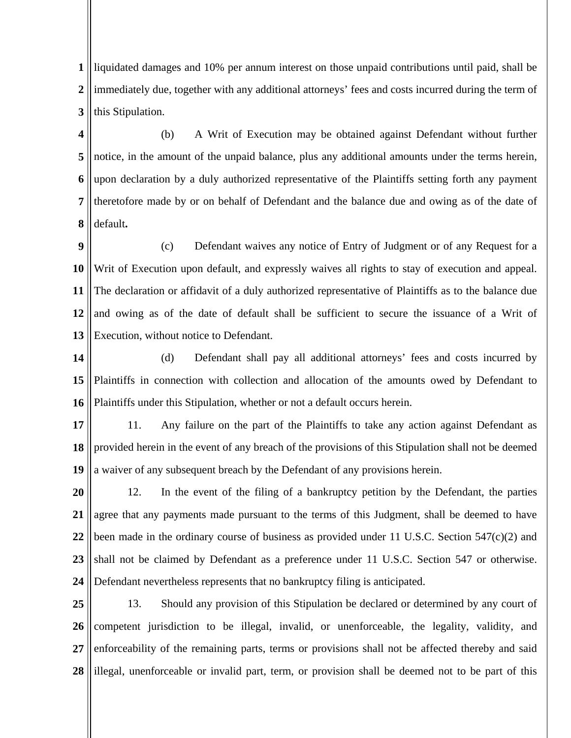**1 2 3** liquidated damages and 10% per annum interest on those unpaid contributions until paid, shall be immediately due, together with any additional attorneys' fees and costs incurred during the term of this Stipulation.

**4 5 6 7 8** (b) A Writ of Execution may be obtained against Defendant without further notice, in the amount of the unpaid balance, plus any additional amounts under the terms herein, upon declaration by a duly authorized representative of the Plaintiffs setting forth any payment theretofore made by or on behalf of Defendant and the balance due and owing as of the date of default**.** 

**9 10 11 12 13** (c) Defendant waives any notice of Entry of Judgment or of any Request for a Writ of Execution upon default, and expressly waives all rights to stay of execution and appeal. The declaration or affidavit of a duly authorized representative of Plaintiffs as to the balance due and owing as of the date of default shall be sufficient to secure the issuance of a Writ of Execution, without notice to Defendant.

**14 15 16** (d) Defendant shall pay all additional attorneys' fees and costs incurred by Plaintiffs in connection with collection and allocation of the amounts owed by Defendant to Plaintiffs under this Stipulation, whether or not a default occurs herein.

**17 18 19** 11. Any failure on the part of the Plaintiffs to take any action against Defendant as provided herein in the event of any breach of the provisions of this Stipulation shall not be deemed a waiver of any subsequent breach by the Defendant of any provisions herein.

**20 21 22 23 24** 12. In the event of the filing of a bankruptcy petition by the Defendant, the parties agree that any payments made pursuant to the terms of this Judgment, shall be deemed to have been made in the ordinary course of business as provided under 11 U.S.C. Section  $547(c)(2)$  and shall not be claimed by Defendant as a preference under 11 U.S.C. Section 547 or otherwise. Defendant nevertheless represents that no bankruptcy filing is anticipated.

**25 26 27 28** 13. Should any provision of this Stipulation be declared or determined by any court of competent jurisdiction to be illegal, invalid, or unenforceable, the legality, validity, and enforceability of the remaining parts, terms or provisions shall not be affected thereby and said illegal, unenforceable or invalid part, term, or provision shall be deemed not to be part of this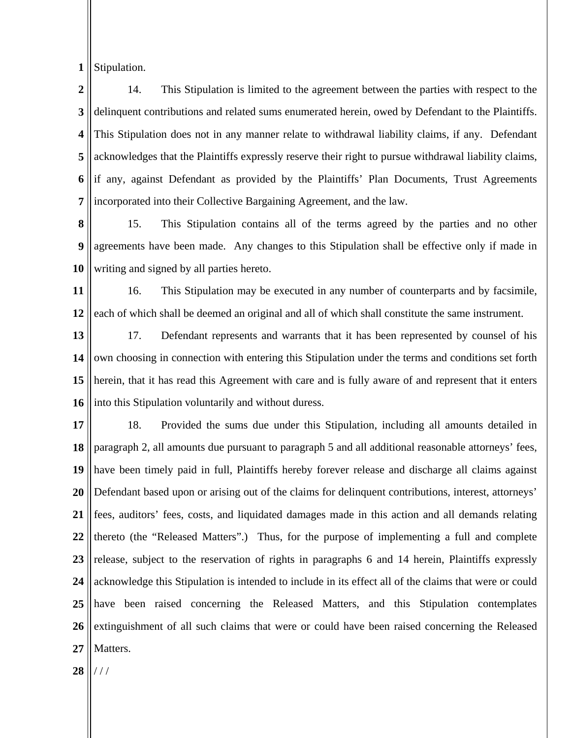**1** Stipulation.

**2 3 4 5 6 7** 14. This Stipulation is limited to the agreement between the parties with respect to the delinquent contributions and related sums enumerated herein, owed by Defendant to the Plaintiffs. This Stipulation does not in any manner relate to withdrawal liability claims, if any. Defendant acknowledges that the Plaintiffs expressly reserve their right to pursue withdrawal liability claims, if any, against Defendant as provided by the Plaintiffs' Plan Documents, Trust Agreements incorporated into their Collective Bargaining Agreement, and the law.

**8 9 10** 15. This Stipulation contains all of the terms agreed by the parties and no other agreements have been made. Any changes to this Stipulation shall be effective only if made in writing and signed by all parties hereto.

**11 12** 16. This Stipulation may be executed in any number of counterparts and by facsimile, each of which shall be deemed an original and all of which shall constitute the same instrument.

**13 14 15 16** 17. Defendant represents and warrants that it has been represented by counsel of his own choosing in connection with entering this Stipulation under the terms and conditions set forth herein, that it has read this Agreement with care and is fully aware of and represent that it enters into this Stipulation voluntarily and without duress.

**17 18 19 20 21 22 23 24 25 26 27** 18. Provided the sums due under this Stipulation, including all amounts detailed in paragraph 2, all amounts due pursuant to paragraph 5 and all additional reasonable attorneys' fees, have been timely paid in full, Plaintiffs hereby forever release and discharge all claims against Defendant based upon or arising out of the claims for delinquent contributions, interest, attorneys' fees, auditors' fees, costs, and liquidated damages made in this action and all demands relating thereto (the "Released Matters".) Thus, for the purpose of implementing a full and complete release, subject to the reservation of rights in paragraphs 6 and 14 herein, Plaintiffs expressly acknowledge this Stipulation is intended to include in its effect all of the claims that were or could have been raised concerning the Released Matters, and this Stipulation contemplates extinguishment of all such claims that were or could have been raised concerning the Released Matters.

**28** / / /